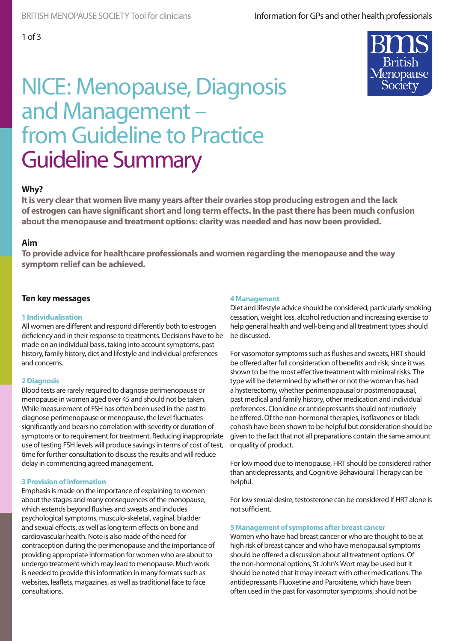

# NICE: Menopause, Diagnosis and Management – from Guideline to Practice Guideline Summary

# **Why?**

**It is very clear that women live many years after their ovaries stop producing estrogen and the lack of estrogen can have significant short and long term effects. In the past there has been much confusion about the menopause and treatment options: clarity was needed and has now been provided.**

#### **Aim**

**To provide advice for healthcare professionals and women regarding the menopause and the way symptom relief can be achieved.**

# **Ten key messages**

#### **1 Individualisation**

All women are different and respond differently both to estrogen deficiency and in their response to treatments. Decisions have to be made on an individual basis, taking into account symptoms, past history, family history, diet and lifestyle and individual preferences and concerns.

#### **2 Diagnosis**

Blood tests are rarely required to diagnose perimenopause or menopause in women aged over 45 and should not be taken. While measurement of FSH has often been used in the past to diagnose perimenopause or menopause, the level fluctuates significantly and bears no correlation with severity or duration of symptoms or to requirement for treatment. Reducing inappropriate use of testing FSH levels will produce savings in terms of cost of test, time for further consultation to discuss the results and will reduce delay in commencing agreed management.

#### **3 Provision of information**

Emphasis is made on the importance of explaining to women about the stages and many consequences of the menopause, which extends beyond flushes and sweats and includes psychological symptoms, musculo-skeletal, vaginal, bladder and sexual effects, as well as long term effects on bone and cardiovascular health. Note is also made of the need for contraception during the perimenopause and the importance of providing appropriate information for women who are about to undergo treatment which may lead to menopause. Much work is needed to provide this information in many formats such as websites, leaflets, magazines, as well as traditional face to face consultations.

#### **4 Management**

Diet and lifestyle advice should be considered, particularly smoking cessation, weight loss, alcohol reduction and increasing exercise to help general health and well-being and all treatment types should be discussed.

For vasomotor symptoms such as flushes and sweats, HRT should be offered after full consideration of benefits and risk, since it was shown to be the most effective treatment with minimal risks. The type will be determined by whether or not the woman has had a hysterectomy, whether perimenopausal or postmenopausal, past medical and family history, other medication and individual preferences. Clonidine or antidepressants should not routinely be offered. Of the non-hormonal therapies, isoflavones or black cohosh have been shown to be helpful but consideration should be given to the fact that not all preparations contain the same amount or quality of product.

For low mood due to menopause, HRT should be considered rather than antidepressants, and Cognitive Behavioural Therapy can be helpful.

For low sexual desire, testosterone can be considered if HRT alone is not sufficient.

#### **5 Management of symptoms after breast cancer**

Women who have had breast cancer or who are thought to be at high risk of breast cancer and who have menopausal symptoms should be offered a discussion about all treatment options. Of the non-hormonal options, St John's Wort may be used but it should be noted that it may interact with other medications. The antidepressants Fluoxetine and Paroxitene, which have been often used in the past for vasomotor symptoms, should not be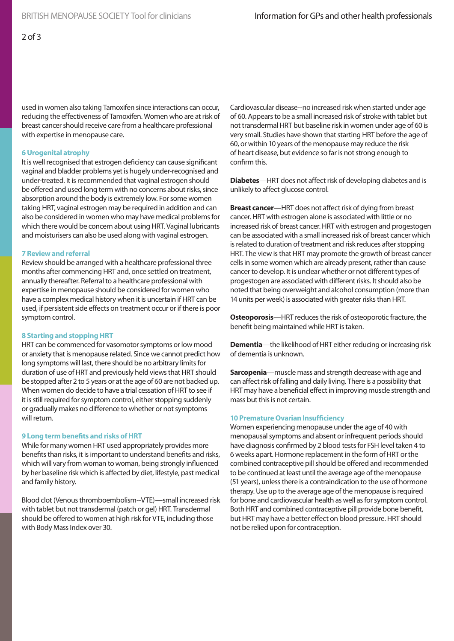used in women also taking Tamoxifen since interactions can occur, reducing the effectiveness of Tamoxifen. Women who are at risk of breast cancer should receive care from a healthcare professional with expertise in menopause care.

#### **6 Urogenital atrophy**

It is well recognised that estrogen deficiency can cause significant vaginal and bladder problems yet is hugely under-recognised and under-treated. It is recommended that vaginal estrogen should be offered and used long term with no concerns about risks, since absorption around the body is extremely low. For some women taking HRT, vaginal estrogen may be required in addition and can also be considered in women who may have medical problems for which there would be concern about using HRT. Vaginal lubricants and moisturisers can also be used along with vaginal estrogen.

#### **7 Review and referral**

Review should be arranged with a healthcare professional three months after commencing HRT and, once settled on treatment, annually thereafter. Referral to a healthcare professional with expertise in menopause should be considered for women who have a complex medical history when it is uncertain if HRT can be used, if persistent side effects on treatment occur or if there is poor symptom control.

# **8 Starting and stopping HRT**

HRT can be commenced for vasomotor symptoms or low mood or anxiety that is menopause related. Since we cannot predict how long symptoms will last, there should be no arbitrary limits for duration of use of HRT and previously held views that HRT should be stopped after 2 to 5 years or at the age of 60 are not backed up. When women do decide to have a trial cessation of HRT to see if it is still required for symptom control, either stopping suddenly or gradually makes no difference to whether or not symptoms will return.

# **9 Long term benefits and risks of HRT**

While for many women HRT used appropriately provides more benefits than risks, it is important to understand benefits and risks, which will vary from woman to woman, being strongly influenced by her baseline risk which is affected by diet, lifestyle, past medical and family history.

Blood clot (Venous thromboembolism--VTE)—small increased risk with tablet but not transdermal (patch or gel) HRT. Transdermal should be offered to women at high risk for VTE, including those with Body Mass Index over 30.

Cardiovascular disease--no increased risk when started under age of 60. Appears to be a small increased risk of stroke with tablet but not transdermal HRT but baseline risk in women under age of 60 is very small. Studies have shown that starting HRT before the age of 60, or within 10 years of the menopause may reduce the risk of heart disease, but evidence so far is not strong enough to confirm this.

**Diabetes**—HRT does not affect risk of developing diabetes and is unlikely to affect glucose control.

**Breast cancer**—HRT does not affect risk of dying from breast cancer. HRT with estrogen alone is associated with little or no increased risk of breast cancer. HRT with estrogen and progestogen can be associated with a small increased risk of breast cancer which is related to duration of treatment and risk reduces after stopping HRT. The view is that HRT may promote the growth of breast cancer cells in some women which are already present, rather than cause cancer to develop. It is unclear whether or not different types of progestogen are associated with different risks. It should also be noted that being overweight and alcohol consumption (more than 14 units per week) is associated with greater risks than HRT.

**Osteoporosis**—HRT reduces the risk of osteoporotic fracture, the benefit being maintained while HRT is taken.

**Dementia**—the likelihood of HRT either reducing or increasing risk of dementia is unknown.

**Sarcopenia**—muscle mass and strength decrease with age and can affect risk of falling and daily living. There is a possibility that HRT may have a beneficial effect in improving muscle strength and mass but this is not certain.

#### **10 Premature Ovarian Insufficiency**

Women experiencing menopause under the age of 40 with menopausal symptoms and absent or infrequent periods should have diagnosis confirmed by 2 blood tests for FSH level taken 4 to 6 weeks apart. Hormone replacement in the form of HRT or the combined contraceptive pill should be offered and recommended to be continued at least until the average age of the menopause (51 years), unless there is a contraindication to the use of hormone therapy. Use up to the average age of the menopause is required for bone and cardiovascular health as well as for symptom control. Both HRT and combined contraceptive pill provide bone benefit, but HRT may have a better effect on blood pressure. HRT should not be relied upon for contraception.